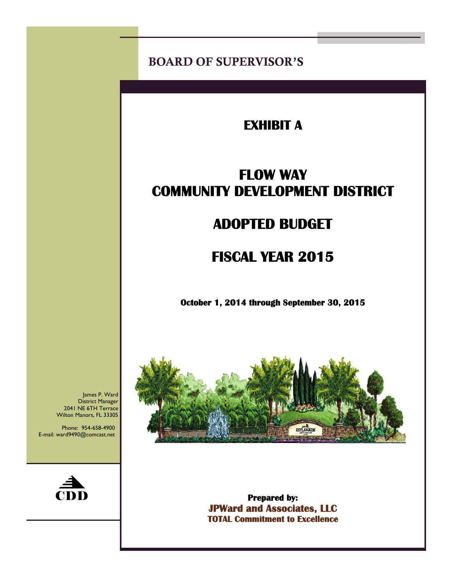BOARD OF SUPERVISOR'S

# **EXHIBIT A**

# **FLOW WAY COMMUNITY DEVELOPMENT DISTRICT**

# **ADOPTED BUDGET**

# **FISCAL YEAR 2015**

 **October 1, 2014 through September 30, 2015** 



**Prepared by: JPWard and Associates, LLC TOTAL Commitment to Excellence** 

James P. Ward District Manager 2041 NE 6TH Terrace Wilton Manors, FL 33305

Phone: 954-658-4900 E-mail: ward9490@comcast.net

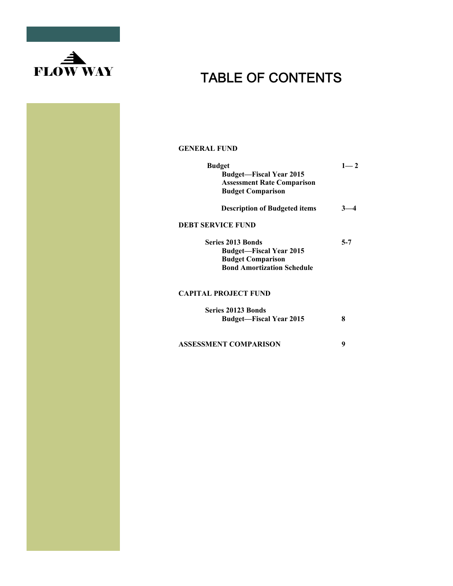

#### **GENERAL FUND**

| <b>Budget</b><br><b>Budget-Fiscal Year 2015</b> | $1 - 2$ |
|-------------------------------------------------|---------|
| <b>Assessment Rate Comparison</b>               |         |
| <b>Budget Comparison</b>                        |         |
| <b>Description of Budgeted items</b>            |         |
| <b>DEBT SERVICE FUND</b>                        |         |
| <b>Series 2013 Bonds</b>                        | $5 - 7$ |
| <b>Budget—Fiscal Year 2015</b>                  |         |
| <b>Budget Comparison</b>                        |         |
| <b>Bond Amortization Schedule</b>               |         |
| <b>CAPITAL PROJECT FUND</b>                     |         |
| <b>Series 20123 Bonds</b>                       |         |
| <b>Budget-Fiscal Year 2015</b>                  | 8       |
| <b>ASSESSMENT COMPARISON</b>                    | 9       |
|                                                 |         |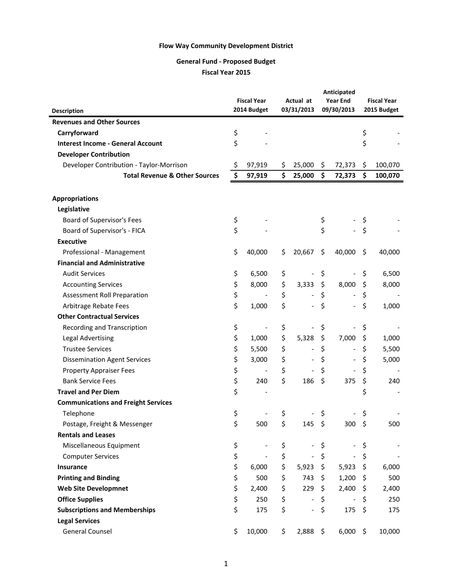## **General Fund ‐ Proposed Budget**

**Fiscal Year 2015**

|                                            |    |                          | Anticipated |                          |    |                              |         |                    |  |  |  |             |
|--------------------------------------------|----|--------------------------|-------------|--------------------------|----|------------------------------|---------|--------------------|--|--|--|-------------|
|                                            |    | <b>Fiscal Year</b>       |             | Actual at                |    | <b>Year End</b>              |         | <b>Fiscal Year</b> |  |  |  |             |
| <b>Description</b>                         |    | 2014 Budget              |             | 03/31/2013               |    |                              |         | 09/30/2013         |  |  |  | 2015 Budget |
| <b>Revenues and Other Sources</b>          |    |                          |             |                          |    |                              |         |                    |  |  |  |             |
| Carryforward                               | \$ |                          |             |                          |    |                              | \$      |                    |  |  |  |             |
| <b>Interest Income - General Account</b>   | \$ |                          |             |                          |    |                              | \$      |                    |  |  |  |             |
| <b>Developer Contribution</b>              |    |                          |             |                          |    |                              |         |                    |  |  |  |             |
| Developer Contribution - Taylor-Morrison   | Ş  | 97,919                   | \$,         | 25,000                   | \$ | 72,373                       | \$      | 100,070            |  |  |  |             |
| <b>Total Revenue &amp; Other Sources</b>   | \$ | 97,919                   | \$          | 25,000                   | \$ | 72,373                       | \$      | 100,070            |  |  |  |             |
|                                            |    |                          |             |                          |    |                              |         |                    |  |  |  |             |
| <b>Appropriations</b>                      |    |                          |             |                          |    |                              |         |                    |  |  |  |             |
| Legislative                                |    |                          |             |                          |    |                              |         |                    |  |  |  |             |
| Board of Supervisor's Fees                 | \$ |                          |             |                          | \$ |                              | \$      |                    |  |  |  |             |
| Board of Supervisor's - FICA               | \$ |                          |             |                          | \$ |                              | \$      |                    |  |  |  |             |
| <b>Executive</b>                           |    |                          |             |                          |    |                              |         |                    |  |  |  |             |
| Professional - Management                  | \$ | 40,000                   | \$          | 20,667                   | \$ | 40,000                       | \$      | 40,000             |  |  |  |             |
| <b>Financial and Administrative</b>        |    |                          |             |                          |    |                              |         |                    |  |  |  |             |
| <b>Audit Services</b>                      | \$ | 6,500                    | \$          |                          | \$ |                              | \$      | 6,500              |  |  |  |             |
| <b>Accounting Services</b>                 | \$ | 8,000                    | \$          | 3,333                    | \$ | 8,000                        | \$      | 8,000              |  |  |  |             |
| Assessment Roll Preparation                | \$ |                          | \$          |                          | \$ |                              | \$      |                    |  |  |  |             |
| Arbitrage Rebate Fees                      | \$ | 1,000                    | \$          |                          | \$ |                              | \$      | 1,000              |  |  |  |             |
| <b>Other Contractual Services</b>          |    |                          |             |                          |    |                              |         |                    |  |  |  |             |
| Recording and Transcription                | \$ |                          | \$          |                          | \$ |                              | \$      |                    |  |  |  |             |
| <b>Legal Advertising</b>                   | \$ | 1,000                    | \$          | 5,328                    | \$ | 7,000                        | \$      | 1,000              |  |  |  |             |
| <b>Trustee Services</b>                    | \$ | 5,500                    | \$          |                          | \$ |                              | \$      | 5,500              |  |  |  |             |
| <b>Dissemination Agent Services</b>        | \$ | 3,000                    | \$          |                          | \$ |                              | \$      | 5,000              |  |  |  |             |
| <b>Property Appraiser Fees</b>             | \$ |                          | \$          |                          | \$ |                              | \$      |                    |  |  |  |             |
| <b>Bank Service Fees</b>                   | \$ | 240                      | \$          | 186                      | \$ | 375                          | \$      | 240                |  |  |  |             |
| <b>Travel and Per Diem</b>                 | \$ |                          |             |                          |    |                              | \$      |                    |  |  |  |             |
| <b>Communications and Freight Services</b> |    |                          |             |                          |    |                              |         |                    |  |  |  |             |
| Telephone                                  | \$ |                          | \$          |                          | \$ |                              | \$      |                    |  |  |  |             |
| Postage, Freight & Messenger               | \$ | 500                      | \$          | 145                      | \$ | 300                          | -\$     | 500                |  |  |  |             |
| <b>Rentals and Leases</b>                  |    |                          |             |                          |    |                              |         |                    |  |  |  |             |
| Miscellaneous Equipment                    | \$ | $\overline{\phantom{a}}$ | \$          |                          | \$ | $\overline{\phantom{a}}$     | \$      |                    |  |  |  |             |
| <b>Computer Services</b>                   | \$ |                          | \$          |                          | \$ | $\overline{\phantom{a}}$     | \$      |                    |  |  |  |             |
| Insurance                                  | \$ | 6,000                    | \$          | 5,923                    | \$ | 5,923                        | $\zeta$ | 6,000              |  |  |  |             |
| <b>Printing and Binding</b>                | \$ | 500                      | \$          | 743                      | \$ | 1,200                        | -\$     | 500                |  |  |  |             |
| <b>Web Site Developmnet</b>                | \$ | 2,400                    | \$          | 229                      | \$ | 2,400                        | -\$     | 2,400              |  |  |  |             |
| <b>Office Supplies</b>                     | \$ | 250                      | \$          |                          | \$ | $\qquad \qquad \blacksquare$ | \$      | 250                |  |  |  |             |
| <b>Subscriptions and Memberships</b>       | \$ | 175                      | \$          | $\overline{\phantom{a}}$ | \$ | 175                          | \$      | 175                |  |  |  |             |
| <b>Legal Services</b>                      |    |                          |             |                          |    |                              |         |                    |  |  |  |             |
| <b>General Counsel</b>                     | \$ | 10,000                   | \$          | $2,888$ \$               |    | 6,000                        | - \$    | 10,000             |  |  |  |             |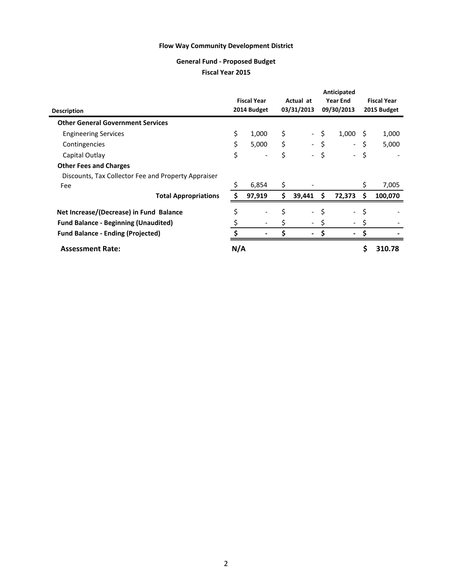#### **General Fund ‐ Proposed Budget**

## **Fiscal Year 2015**

|                                                     |     |                    |     |                          |     | Anticipated              |     |                    |
|-----------------------------------------------------|-----|--------------------|-----|--------------------------|-----|--------------------------|-----|--------------------|
|                                                     |     | <b>Fiscal Year</b> |     | Actual at                |     | Year End                 |     | <b>Fiscal Year</b> |
| <b>Description</b>                                  |     | 2014 Budget        |     | 03/31/2013               |     | 09/30/2013               |     | 2015 Budget        |
| <b>Other General Government Services</b>            |     |                    |     |                          |     |                          |     |                    |
| <b>Engineering Services</b>                         | \$  | 1,000              | \$  | $\sim$                   | \$  | 1,000                    | S   | 1,000              |
| Contingencies                                       | \$  | 5,000              | \$  |                          | \$  | $\overline{\phantom{a}}$ | \$  | 5,000              |
| Capital Outlay                                      | \$  |                    | \$  |                          | \$  | $\sim$                   | \$  |                    |
| <b>Other Fees and Charges</b>                       |     |                    |     |                          |     |                          |     |                    |
| Discounts, Tax Collector Fee and Property Appraiser |     |                    |     |                          |     |                          |     |                    |
| Fee                                                 |     | 6,854              | \$  |                          |     |                          | \$  | 7,005              |
| <b>Total Appropriations</b>                         |     | 97,919             | \$  | 39,441                   | \$  | 72,373                   | \$. | 100,070            |
| Net Increase/(Decrease) in Fund Balance             | \$  |                    | \$  | $\overline{\phantom{0}}$ | \$  | $\overline{\phantom{a}}$ | \$  |                    |
| <b>Fund Balance - Beginning (Unaudited)</b>         |     |                    |     |                          | \$  | $\overline{\phantom{0}}$ |     |                    |
| <b>Fund Balance - Ending (Projected)</b>            |     |                    | \$. |                          | \$. | ۰                        | \$. |                    |
| <b>Assessment Rate:</b>                             | N/A |                    |     |                          |     |                          | S   | 310.78             |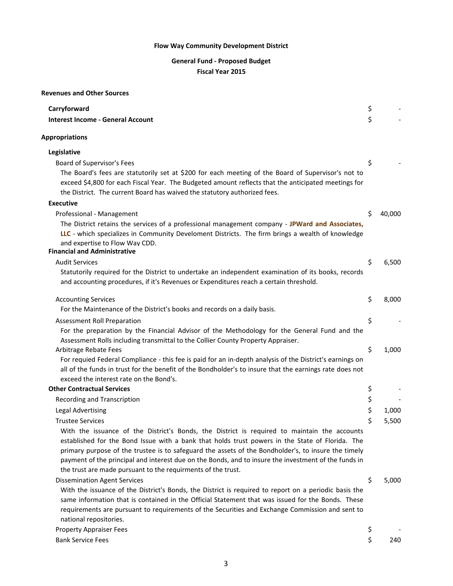# **General Fund ‐ Proposed Budget**

### **Fiscal Year 2015**

#### **Revenues and Other Sources**

| Carryforward                                                                                                                                                                                                                                                                                                                                                                                                                                                                   | \$ |        |
|--------------------------------------------------------------------------------------------------------------------------------------------------------------------------------------------------------------------------------------------------------------------------------------------------------------------------------------------------------------------------------------------------------------------------------------------------------------------------------|----|--------|
| <b>Interest Income - General Account</b>                                                                                                                                                                                                                                                                                                                                                                                                                                       | \$ |        |
| <b>Appropriations</b>                                                                                                                                                                                                                                                                                                                                                                                                                                                          |    |        |
| Legislative                                                                                                                                                                                                                                                                                                                                                                                                                                                                    |    |        |
| Board of Supervisor's Fees                                                                                                                                                                                                                                                                                                                                                                                                                                                     | \$ |        |
| The Board's fees are statutorily set at \$200 for each meeting of the Board of Supervisor's not to<br>exceed \$4,800 for each Fiscal Year. The Budgeted amount reflects that the anticipated meetings for<br>the District. The current Board has waived the statutory authorized fees.                                                                                                                                                                                         |    |        |
| <b>Executive</b>                                                                                                                                                                                                                                                                                                                                                                                                                                                               |    |        |
| Professional - Management                                                                                                                                                                                                                                                                                                                                                                                                                                                      | Ś. | 40,000 |
| The District retains the services of a professional management company - JPWard and Associates,<br>LLC - which specializes in Community Develoment Districts. The firm brings a wealth of knowledge<br>and expertise to Flow Way CDD.<br><b>Financial and Administrative</b>                                                                                                                                                                                                   |    |        |
| <b>Audit Services</b>                                                                                                                                                                                                                                                                                                                                                                                                                                                          | \$ | 6,500  |
| Statutorily required for the District to undertake an independent examination of its books, records<br>and accounting procedures, if it's Revenues or Expenditures reach a certain threshold.                                                                                                                                                                                                                                                                                  |    |        |
| <b>Accounting Services</b>                                                                                                                                                                                                                                                                                                                                                                                                                                                     | \$ | 8,000  |
| For the Maintenance of the District's books and records on a daily basis.                                                                                                                                                                                                                                                                                                                                                                                                      |    |        |
| Assessment Roll Preparation                                                                                                                                                                                                                                                                                                                                                                                                                                                    | \$ |        |
| For the preparation by the Financial Advisor of the Methodology for the General Fund and the<br>Assessment Rolls including transmittal to the Collier County Property Appraiser.                                                                                                                                                                                                                                                                                               |    |        |
| Arbitrage Rebate Fees<br>For requied Federal Compliance - this fee is paid for an in-depth analysis of the District's earnings on<br>all of the funds in trust for the benefit of the Bondholder's to insure that the earnings rate does not<br>exceed the interest rate on the Bond's.                                                                                                                                                                                        | \$ | 1,000  |
| <b>Other Contractual Services</b>                                                                                                                                                                                                                                                                                                                                                                                                                                              | \$ |        |
| <b>Recording and Transcription</b>                                                                                                                                                                                                                                                                                                                                                                                                                                             | \$ |        |
| <b>Legal Advertising</b>                                                                                                                                                                                                                                                                                                                                                                                                                                                       | \$ | 1,000  |
| <b>Trustee Services</b>                                                                                                                                                                                                                                                                                                                                                                                                                                                        | \$ | 5,500  |
| With the issuance of the District's Bonds, the District is required to maintain the accounts<br>established for the Bond Issue with a bank that holds trust powers in the State of Florida. The<br>primary purpose of the trustee is to safeguard the assets of the Bondholder's, to insure the timely<br>payment of the principal and interest due on the Bonds, and to insure the investment of the funds in<br>the trust are made pursuant to the requirments of the trust. |    |        |
| <b>Dissemination Agent Services</b>                                                                                                                                                                                                                                                                                                                                                                                                                                            | \$ | 5,000  |
| With the issuance of the District's Bonds, the District is required to report on a periodic basis the<br>same information that is contained in the Official Statement that was issued for the Bonds. These<br>requirements are pursuant to requirements of the Securities and Exchange Commission and sent to<br>national repositories.                                                                                                                                        |    |        |
| <b>Property Appraiser Fees</b>                                                                                                                                                                                                                                                                                                                                                                                                                                                 | \$ |        |
| <b>Bank Service Fees</b>                                                                                                                                                                                                                                                                                                                                                                                                                                                       | \$ | 240    |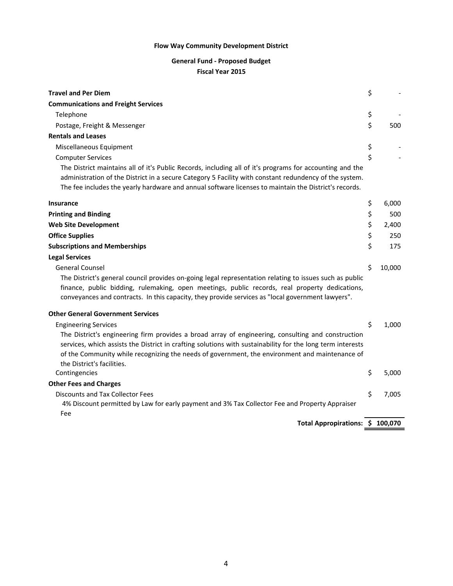## **General Fund ‐ Proposed Budget**

#### **Fiscal Year 2015**

| <b>Travel and Per Diem</b>                                                                                                                                                                                                                                                                                                                       | \$ |        |
|--------------------------------------------------------------------------------------------------------------------------------------------------------------------------------------------------------------------------------------------------------------------------------------------------------------------------------------------------|----|--------|
| <b>Communications and Freight Services</b>                                                                                                                                                                                                                                                                                                       |    |        |
| Telephone                                                                                                                                                                                                                                                                                                                                        | \$ |        |
| Postage, Freight & Messenger                                                                                                                                                                                                                                                                                                                     | \$ | 500    |
| <b>Rentals and Leases</b>                                                                                                                                                                                                                                                                                                                        |    |        |
| Miscellaneous Equipment                                                                                                                                                                                                                                                                                                                          | \$ |        |
| <b>Computer Services</b>                                                                                                                                                                                                                                                                                                                         | \$ |        |
| The District maintains all of it's Public Records, including all of it's programs for accounting and the<br>administration of the District in a secure Category 5 Facility with constant redundency of the system.<br>The fee includes the yearly hardware and annual software licenses to maintain the District's records.                      |    |        |
| <b>Insurance</b>                                                                                                                                                                                                                                                                                                                                 | \$ | 6,000  |
| <b>Printing and Binding</b>                                                                                                                                                                                                                                                                                                                      | \$ | 500    |
| <b>Web Site Development</b>                                                                                                                                                                                                                                                                                                                      | \$ | 2,400  |
| <b>Office Supplies</b>                                                                                                                                                                                                                                                                                                                           | \$ | 250    |
| <b>Subscriptions and Memberships</b>                                                                                                                                                                                                                                                                                                             | \$ | 175    |
| <b>Legal Services</b>                                                                                                                                                                                                                                                                                                                            |    |        |
| <b>General Counsel</b>                                                                                                                                                                                                                                                                                                                           | \$ | 10,000 |
| The District's general council provides on-going legal representation relating to issues such as public<br>finance, public bidding, rulemaking, open meetings, public records, real property dedications,<br>conveyances and contracts. In this capacity, they provide services as "local government lawyers".                                   |    |        |
| <b>Other General Government Services</b>                                                                                                                                                                                                                                                                                                         |    |        |
| <b>Engineering Services</b>                                                                                                                                                                                                                                                                                                                      | Ś  | 1,000  |
| The District's engineering firm provides a broad array of engineering, consulting and construction<br>services, which assists the District in crafting solutions with sustainability for the long term interests<br>of the Community while recognizing the needs of government, the environment and maintenance of<br>the District's facilities. |    |        |
| Contingencies                                                                                                                                                                                                                                                                                                                                    | \$ | 5,000  |
| <b>Other Fees and Charges</b>                                                                                                                                                                                                                                                                                                                    |    |        |
| <b>Discounts and Tax Collector Fees</b><br>4% Discount permitted by Law for early payment and 3% Tax Collector Fee and Property Appraiser<br>Fee                                                                                                                                                                                                 | \$ | 7,005  |
| Total Appropirations: \$ 100,070                                                                                                                                                                                                                                                                                                                 |    |        |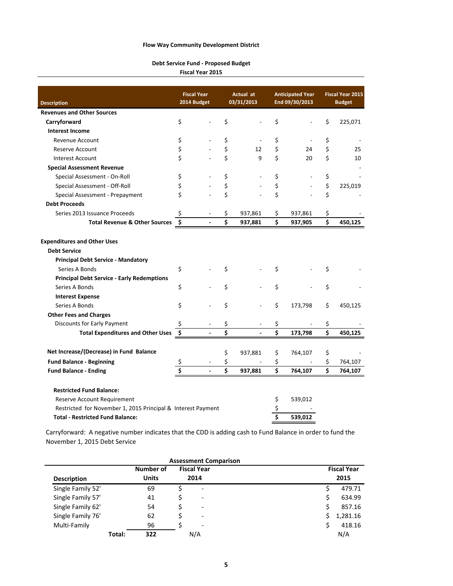#### **Debt Service Fund ‐ Proposed Budget**

**Fiscal Year 2015**

|                                                              |                               | <b>Fiscal Year</b> |    | Actual at                |    | <b>Anticipated Year</b> | <b>Fiscal Year 2015</b> |               |  |
|--------------------------------------------------------------|-------------------------------|--------------------|----|--------------------------|----|-------------------------|-------------------------|---------------|--|
| <b>Description</b>                                           |                               | 2014 Budget        |    | 03/31/2013               |    | End 09/30/2013          |                         | <b>Budget</b> |  |
| <b>Revenues and Other Sources</b>                            |                               |                    |    |                          |    |                         |                         |               |  |
| Carryforward                                                 | \$                            |                    | Ś  |                          | \$ |                         | \$                      | 225,071       |  |
| <b>Interest Income</b>                                       |                               |                    |    |                          |    |                         |                         |               |  |
| Revenue Account                                              | \$                            |                    | \$ |                          | \$ |                         | \$                      |               |  |
| <b>Reserve Account</b>                                       | \$                            |                    | \$ | 12                       | \$ | 24                      | \$                      | 25            |  |
| <b>Interest Account</b>                                      | \$                            |                    | \$ | 9                        | \$ | 20                      | \$                      | 10            |  |
| <b>Special Assessment Revenue</b>                            |                               |                    |    |                          |    |                         |                         |               |  |
| Special Assessment - On-Roll                                 | \$                            |                    | \$ |                          | \$ |                         | \$                      |               |  |
| Special Assessment - Off-Roll                                | \$                            |                    | \$ |                          | \$ |                         | \$                      | 225,019       |  |
| Special Assessment - Prepayment                              | \$                            |                    | \$ |                          | \$ |                         | \$                      |               |  |
| <b>Debt Proceeds</b>                                         |                               |                    |    |                          |    |                         |                         |               |  |
| Series 2013 Issuance Proceeds                                | \$                            |                    | \$ | 937,861                  | \$ | 937,861                 | \$                      |               |  |
| <b>Total Revenue &amp; Other Sources</b>                     | $\ddot{\bm{\zeta}}$           |                    | Ś  | 937,881                  | Ś  | 937,905                 | \$                      | 450,125       |  |
| <b>Expenditures and Other Uses</b><br><b>Debt Service</b>    |                               |                    |    |                          |    |                         |                         |               |  |
| <b>Principal Debt Service - Mandatory</b>                    |                               |                    |    |                          |    |                         |                         |               |  |
| Series A Bonds                                               | \$                            |                    | \$ |                          | \$ |                         | \$                      |               |  |
| <b>Principal Debt Service - Early Redemptions</b>            |                               |                    |    |                          |    |                         |                         |               |  |
| Series A Bonds                                               | \$                            |                    | \$ |                          | \$ |                         | \$                      |               |  |
| <b>Interest Expense</b>                                      |                               |                    |    |                          |    |                         |                         |               |  |
| Series A Bonds                                               | \$                            |                    | \$ |                          | \$ | 173,798                 | \$                      | 450,125       |  |
| <b>Other Fees and Charges</b>                                |                               |                    |    |                          |    |                         |                         |               |  |
| Discounts for Early Payment                                  | \$                            |                    | \$ |                          | \$ |                         | \$                      |               |  |
| <b>Total Expenditures and Other Uses</b>                     | $\overline{\boldsymbol{\xi}}$ |                    | \$ | $\overline{\phantom{a}}$ | \$ | 173,798                 | \$                      | 450,125       |  |
|                                                              |                               |                    |    |                          |    |                         |                         |               |  |
| Net Increase/(Decrease) in Fund Balance                      |                               |                    | \$ | 937,881                  | \$ | 764,107                 | \$                      |               |  |
| <b>Fund Balance - Beginning</b>                              | \$                            |                    | \$ |                          | \$ |                         | \$                      | 764,107       |  |
| <b>Fund Balance - Ending</b>                                 | \$                            |                    | \$ | 937,881                  | \$ | 764,107                 | \$                      | 764,107       |  |
| <b>Restricted Fund Balance:</b>                              |                               |                    |    |                          |    |                         |                         |               |  |
| Reserve Account Requirement                                  |                               |                    |    |                          | \$ | 539,012                 |                         |               |  |
| Restricted for November 1, 2015 Principal & Interest Payment |                               |                    |    |                          | \$ |                         |                         |               |  |
| <b>Total - Restricted Fund Balance:</b>                      |                               |                    |    |                          | \$ | 539,012                 |                         |               |  |

Carryforward: A negative number indicates that the CDD is adding cash to Fund Balance in order to fund the November 1, 2015 Debt Service

|                    |        |              | <b>Assessment Comparison</b> |   |                    |
|--------------------|--------|--------------|------------------------------|---|--------------------|
|                    |        | Number of    | <b>Fiscal Year</b>           |   | <b>Fiscal Year</b> |
| <b>Description</b> |        | <b>Units</b> | 2014                         |   | 2015               |
| Single Family 52'  |        | 69           |                              |   | 479.71             |
| Single Family 57'  |        | 41           | $\overline{\phantom{0}}$     |   | 634.99             |
| Single Family 62'  |        | 54           | ٠                            |   | 857.16             |
| Single Family 76'  |        | 62           | $\overline{\phantom{0}}$     | Ś | 1,281.16           |
| Multi-Family       |        | 96           | ۰                            |   | 418.16             |
|                    | Total: | 322          | N/A                          |   | N/A                |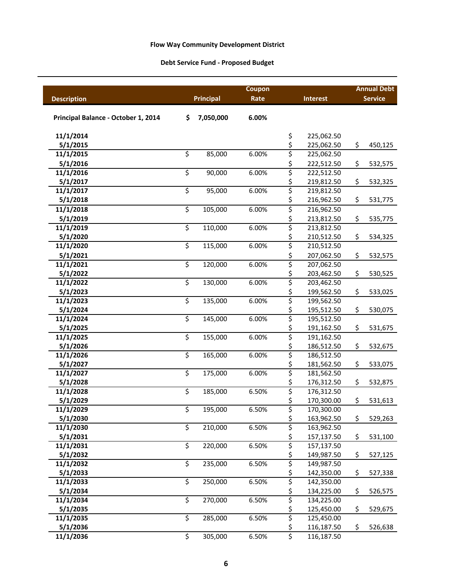## **Debt Service Fund ‐ Proposed Budget**

|                                     |                          |                  | Coupon |             |                          | <b>Annual Debt</b> |                |  |
|-------------------------------------|--------------------------|------------------|--------|-------------|--------------------------|--------------------|----------------|--|
| <b>Description</b>                  |                          | <b>Principal</b> | Rate   |             | <b>Interest</b>          |                    | <b>Service</b> |  |
|                                     |                          |                  |        |             |                          |                    |                |  |
| Principal Balance - October 1, 2014 | \$                       | 7,050,000        | 6.00%  |             |                          |                    |                |  |
| 11/1/2014                           |                          |                  |        | \$          | 225,062.50               |                    |                |  |
| 5/1/2015                            |                          |                  |        | \$          | 225,062.50               | \$                 | 450,125        |  |
| 11/1/2015                           | \$                       | 85,000           | 6.00%  | \$          | 225,062.50               |                    |                |  |
| 5/1/2016                            |                          |                  |        | \$          | 222,512.50               | \$                 | 532,575        |  |
| 11/1/2016                           | \$                       | 90,000           | 6.00%  | \$          | 222,512.50               |                    |                |  |
| 5/1/2017                            |                          |                  |        | \$          | 219,812.50               | \$                 | 532,325        |  |
| 11/1/2017                           | \$                       | 95,000           | 6.00%  | \$          | 219,812.50               |                    |                |  |
| 5/1/2018                            |                          |                  |        | \$          | 216,962.50               | \$                 | 531,775        |  |
| 11/1/2018                           | \$                       | 105,000          | 6.00%  | \$          | 216,962.50               |                    |                |  |
| 5/1/2019                            |                          |                  |        | \$          | 213,812.50               | \$                 | 535,775        |  |
| 11/1/2019                           | \$                       | 110,000          | 6.00%  | \$          | 213,812.50               |                    |                |  |
| 5/1/2020                            |                          |                  |        | \$          | 210,512.50               | \$                 | 534,325        |  |
| 11/1/2020                           | \$                       | 115,000          | 6.00%  | \$          | 210,512.50               |                    |                |  |
| 5/1/2021                            |                          |                  |        | \$          | 207,062.50               | \$                 | 532,575        |  |
| 11/1/2021                           | \$                       | 120,000          | 6.00%  | \$          | 207,062.50               |                    |                |  |
| 5/1/2022                            |                          |                  |        | \$          | 203,462.50               | \$                 | 530,525        |  |
| 11/1/2022                           | \$                       | 130,000          | 6.00%  | \$          | 203,462.50               |                    |                |  |
| 5/1/2023                            |                          |                  |        | \$          | 199,562.50               | \$                 | 533,025        |  |
| 11/1/2023                           | \$                       | 135,000          | 6.00%  | \$          | 199,562.50               |                    |                |  |
| 5/1/2024                            |                          |                  |        | \$          | 195,512.50               | \$                 | 530,075        |  |
| 11/1/2024                           | \$                       | 145,000          | 6.00%  | \$          | 195,512.50               |                    |                |  |
| 5/1/2025                            |                          |                  |        | \$          | 191,162.50               | \$                 | 531,675        |  |
| 11/1/2025                           | \$                       | 155,000          | 6.00%  | \$          | 191,162.50               |                    |                |  |
| 5/1/2026                            |                          |                  |        | \$          | 186,512.50               | \$                 | 532,675        |  |
| 11/1/2026                           | \$                       | 165,000          | 6.00%  | \$          | 186,512.50               |                    |                |  |
| 5/1/2027                            |                          |                  |        | \$<br>\$    | 181,562.50               | \$                 | 533,075        |  |
| 11/1/2027                           | \$                       | 175,000          | 6.00%  |             | 181,562.50               |                    |                |  |
| 5/1/2028                            |                          |                  |        | $rac{5}{5}$ | 176,312.50               | \$                 | 532,875        |  |
| 11/1/2028                           | $\overline{\xi}$         | 185,000          | 6.50%  |             | 176,312.50               |                    |                |  |
| 5/1/2029                            |                          |                  |        | \$          | 170,300.00               | \$                 | 531,613        |  |
| 11/1/2029                           | \$                       | 195,000          | 6.50%  | \$          | 170,300.00               |                    |                |  |
| 5/1/2030                            |                          |                  |        | \$          | 163,962.50               | \$                 | 529,263        |  |
| 11/1/2030                           | \$                       | 210,000          | 6.50%  | \$          | 163,962.50               |                    |                |  |
| 5/1/2031                            | \$                       |                  |        | \$          | 157,137.50               | \$                 | 531,100        |  |
| 11/1/2031                           |                          | 220,000          | 6.50%  | \$          | 157,137.50               |                    |                |  |
| 5/1/2032                            | \$                       |                  |        | \$          | 149,987.50               | \$                 | 527,125        |  |
| 11/1/2032                           |                          | 235,000          | 6.50%  | \$          | 149,987.50               |                    |                |  |
| 5/1/2033                            | \$                       | 250,000          | 6.50%  | $rac{5}{5}$ | 142,350.00               | \$                 | 527,338        |  |
| 11/1/2033                           |                          |                  |        |             | 142,350.00               |                    |                |  |
| 5/1/2034<br>11/1/2034               | \$                       | 270,000          | 6.50%  | $rac{5}{5}$ | 134,225.00<br>134,225.00 | \$                 | 526,575        |  |
| 5/1/2035                            |                          |                  |        |             | 125,450.00               |                    |                |  |
| 11/1/2035                           | \$                       | 285,000          | 6.50%  | \$<br>\$    | 125,450.00               | \$                 | 529,675        |  |
| 5/1/2036                            |                          |                  |        | \$          | 116,187.50               | \$                 | 526,638        |  |
| 11/1/2036                           | $\overline{\mathcal{L}}$ | 305,000          | 6.50%  | \$          | 116,187.50               |                    |                |  |
|                                     |                          |                  |        |             |                          |                    |                |  |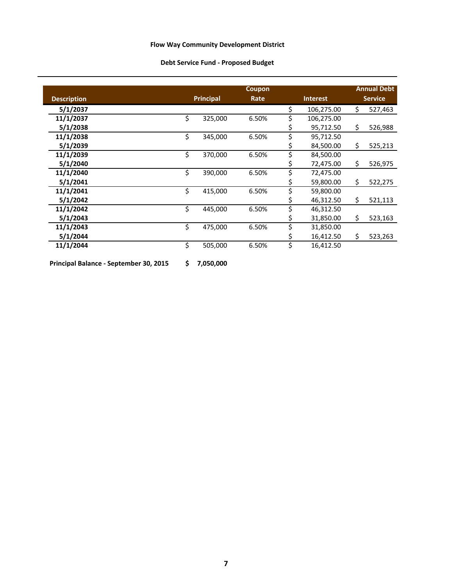## **Debt Service Fund ‐ Proposed Budget**

|                    |                  | Coupon |                 |            |    | <b>Annual Debt</b> |  |                |
|--------------------|------------------|--------|-----------------|------------|----|--------------------|--|----------------|
| <b>Description</b> | <b>Principal</b> | Rate   | <b>Interest</b> |            |    |                    |  | <b>Service</b> |
| 5/1/2037           |                  |        | \$              | 106,275.00 | Ś. | 527,463            |  |                |
| 11/1/2037          | \$<br>325,000    | 6.50%  | \$              | 106,275.00 |    |                    |  |                |
| 5/1/2038           |                  |        | Ş               | 95,712.50  | \$ | 526,988            |  |                |
| 11/1/2038          | \$<br>345,000    | 6.50%  | \$              | 95,712.50  |    |                    |  |                |
| 5/1/2039           |                  |        | Ş               | 84,500.00  | \$ | 525,213            |  |                |
| 11/1/2039          | \$<br>370,000    | 6.50%  | \$              | 84,500.00  |    |                    |  |                |
| 5/1/2040           |                  |        | \$              | 72,475.00  | \$ | 526,975            |  |                |
| 11/1/2040          | \$<br>390,000    | 6.50%  | \$              | 72,475.00  |    |                    |  |                |
| 5/1/2041           |                  |        | \$              | 59,800.00  | \$ | 522,275            |  |                |
| 11/1/2041          | \$<br>415,000    | 6.50%  | \$              | 59,800.00  |    |                    |  |                |
| 5/1/2042           |                  |        | \$              | 46,312.50  | \$ | 521,113            |  |                |
| 11/1/2042          | \$<br>445,000    | 6.50%  | \$              | 46,312.50  |    |                    |  |                |
| 5/1/2043           |                  |        | Ş               | 31,850.00  | \$ | 523,163            |  |                |
| 11/1/2043          | \$<br>475,000    | 6.50%  | \$              | 31,850.00  |    |                    |  |                |
| 5/1/2044           |                  |        | \$              | 16,412.50  | \$ | 523,263            |  |                |
| 11/1/2044          | \$<br>505,000    | 6.50%  | \$              | 16,412.50  |    |                    |  |                |
|                    |                  |        |                 |            |    |                    |  |                |

**Principal Balance ‐ September 30, 2015 7,050,000 \$**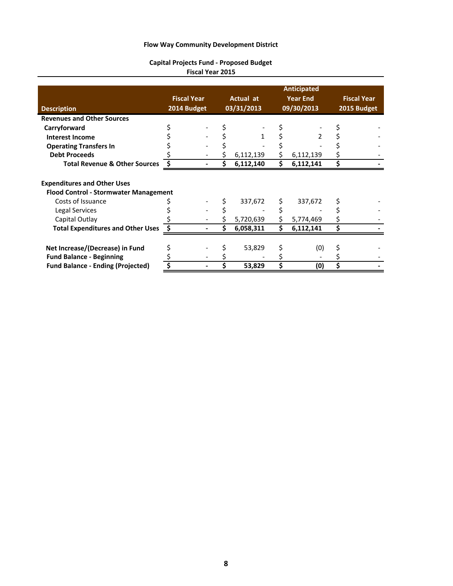#### **Capital Projects Fund ‐ Proposed Budget Fiscal Year 2015**

| <b>Description</b>                                                                 | <b>Fiscal Year</b><br>2014 Budget |   | Actual at<br>03/31/2013 | <b>Anticipated</b><br><b>Year End</b><br>09/30/2013 | <b>Fiscal Year</b><br>2015 Budget |
|------------------------------------------------------------------------------------|-----------------------------------|---|-------------------------|-----------------------------------------------------|-----------------------------------|
| <b>Revenues and Other Sources</b>                                                  |                                   |   |                         |                                                     |                                   |
| Carryforward                                                                       |                                   |   |                         |                                                     |                                   |
| <b>Interest Income</b>                                                             |                                   |   |                         |                                                     |                                   |
| <b>Operating Transfers In</b>                                                      |                                   |   |                         |                                                     |                                   |
| <b>Debt Proceeds</b>                                                               |                                   |   | 6,112,139               | \$<br>6,112,139                                     |                                   |
| <b>Total Revenue &amp; Other Sources</b>                                           |                                   |   | 6,112,140               | \$<br>6,112,141                                     |                                   |
| <b>Expenditures and Other Uses</b><br><b>Flood Control - Stormwater Management</b> |                                   |   |                         |                                                     |                                   |
| Costs of Issuance                                                                  |                                   |   | 337,672                 | 337,672                                             |                                   |
| Legal Services                                                                     |                                   |   |                         |                                                     |                                   |
| Capital Outlay                                                                     |                                   |   | 5,720,639               | \$<br>5,774,469                                     |                                   |
| <b>Total Expenditures and Other Uses</b>                                           |                                   | Ś | 6,058,311               | \$<br>6,112,141                                     |                                   |
| Net Increase/(Decrease) in Fund<br><b>Fund Balance - Beginning</b>                 |                                   |   | 53,829                  | (0)                                                 |                                   |
| <b>Fund Balance - Ending (Projected)</b>                                           | \$                                |   | 53,829                  | \$<br>(0)                                           |                                   |